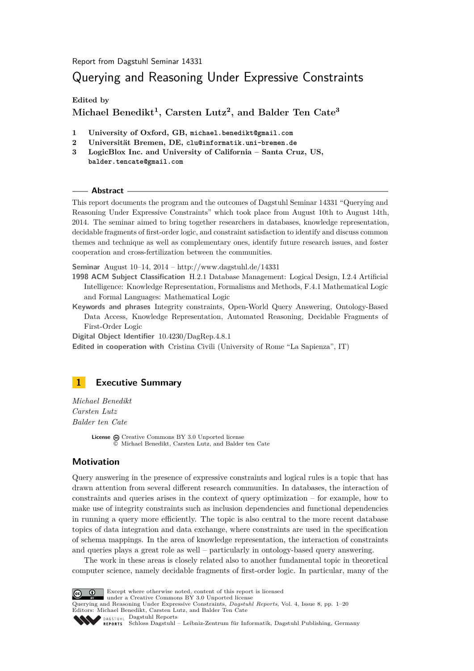Report from Dagstuhl Seminar 14331

# Querying and Reasoning Under Expressive Constraints

**Edited by**

## **Michael Benedikt<sup>1</sup> , Carsten Lutz<sup>2</sup> , and Balder Ten Cate<sup>3</sup>**

- **1 University of Oxford, GB, michael.benedikt@gmail.com**
- **2 Universität Bremen, DE, clu@informatik.uni-bremen.de**
- **3 LogicBlox Inc. and University of California Santa Cruz, US, balder.tencate@gmail.com**

#### **Abstract**

This report documents the program and the outcomes of Dagstuhl Seminar 14331 "Querying and Reasoning Under Expressive Constraints" which took place from August 10th to August 14th, 2014. The seminar aimed to bring together researchers in databases, knowledge representation, decidable fragments of first-order logic, and constraint satisfaction to identify and discuss common themes and technique as well as complementary ones, identify future research issues, and foster cooperation and cross-fertilization between the communities.

**Seminar** August 10–14, 2014 –<http://www.dagstuhl.de/14331>

- **1998 ACM Subject Classification** H.2.1 Database Management: Logical Design, I.2.4 Artificial Intelligence: Knowledge Representation, Formalisms and Methods, F.4.1 Mathematical Logic and Formal Languages: Mathematical Logic
- **Keywords and phrases** Integrity constraints, Open-World Query Answering, Ontology-Based Data Access, Knowledge Representation, Automated Reasoning, Decidable Fragments of First-Order Logic

**Digital Object Identifier** [10.4230/DagRep.4.8.1](http://dx.doi.org/10.4230/DagRep.4.8.1)

**Edited in cooperation with** Cristina Civili (University of Rome "La Sapienza", IT)

## <span id="page-0-0"></span>**1 Executive Summary**

*Michael Benedikt Carsten Lutz Balder ten Cate*

> **License**  $\textcircled{e}$  [Creative Commons BY 3.0 Unported](http://creativecommons.org/licenses/by/3.0/) license © [Michael Benedikt, Carsten Lutz, and Balder ten Cate](#page-0-0)

#### **Motivation**

Query answering in the presence of expressive constraints and logical rules is a topic that has drawn attention from several different research communities. In databases, the interaction of constraints and queries arises in the context of query optimization – for example, how to make use of integrity constraints such as inclusion dependencies and functional dependencies in running a query more efficiently. The topic is also central to the more recent database topics of data integration and data exchange, where constraints are used in the specification of schema mappings. In the area of knowledge representation, the interaction of constraints and queries plays a great role as well – particularly in ontology-based query answering.

The work in these areas is closely related also to another fundamental topic in theoretical computer science, namely decidable fragments of first-order logic. In particular, many of the



Except where otherwise noted, content of this report is licensed

under a [Creative Commons BY 3.0 Unported](http://creativecommons.org/licenses/by/3.0/) license Querying and Reasoning Under Expressive Constraints, *Dagstuhl Reports*, Vol. 4, Issue 8, pp. 1[–20](#page-19-0) Editors: Michael Benedikt, Carsten Lutz, and Balder Ten Cate

DAGSTUHL [Dagstuhl Reports](http://www.dagstuhl.de/dagstuhl-reports/)

[Schloss Dagstuhl – Leibniz-Zentrum für Informatik, Dagstuhl Publishing, Germany](http://www.dagstuhl.de)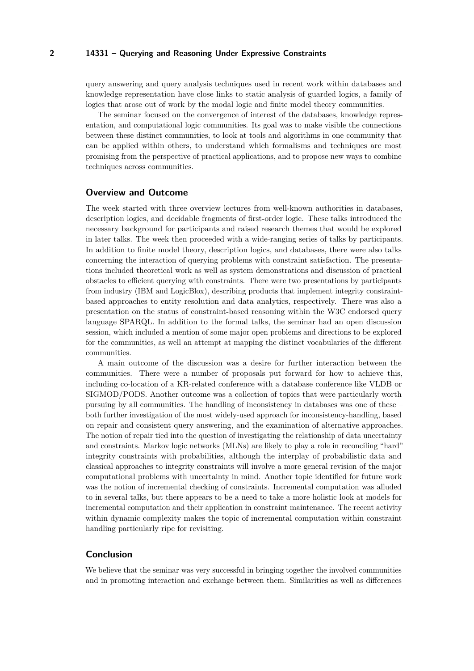#### **2 14331 – Querying and Reasoning Under Expressive Constraints**

query answering and query analysis techniques used in recent work within databases and knowledge representation have close links to static analysis of guarded logics, a family of logics that arose out of work by the modal logic and finite model theory communities.

The seminar focused on the convergence of interest of the databases, knowledge representation, and computational logic communities. Its goal was to make visible the connections between these distinct communities, to look at tools and algorithms in one community that can be applied within others, to understand which formalisms and techniques are most promising from the perspective of practical applications, and to propose new ways to combine techniques across communities.

#### **Overview and Outcome**

The week started with three overview lectures from well-known authorities in databases, description logics, and decidable fragments of first-order logic. These talks introduced the necessary background for participants and raised research themes that would be explored in later talks. The week then proceeded with a wide-ranging series of talks by participants. In addition to finite model theory, description logics, and databases, there were also talks concerning the interaction of querying problems with constraint satisfaction. The presentations included theoretical work as well as system demonstrations and discussion of practical obstacles to efficient querying with constraints. There were two presentations by participants from industry (IBM and LogicBlox), describing products that implement integrity constraintbased approaches to entity resolution and data analytics, respectively. There was also a presentation on the status of constraint-based reasoning within the W3C endorsed query language SPARQL. In addition to the formal talks, the seminar had an open discussion session, which included a mention of some major open problems and directions to be explored for the communities, as well an attempt at mapping the distinct vocabularies of the different communities.

A main outcome of the discussion was a desire for further interaction between the communities. There were a number of proposals put forward for how to achieve this, including co-location of a KR-related conference with a database conference like VLDB or SIGMOD/PODS. Another outcome was a collection of topics that were particularly worth pursuing by all communities. The handling of inconsistency in databases was one of these – both further investigation of the most widely-used approach for inconsistency-handling, based on repair and consistent query answering, and the examination of alternative approaches. The notion of repair tied into the question of investigating the relationship of data uncertainty and constraints. Markov logic networks (MLNs) are likely to play a role in reconciling "hard" integrity constraints with probabilities, although the interplay of probabilistic data and classical approaches to integrity constraints will involve a more general revision of the major computational problems with uncertainty in mind. Another topic identified for future work was the notion of incremental checking of constraints. Incremental computation was alluded to in several talks, but there appears to be a need to take a more holistic look at models for incremental computation and their application in constraint maintenance. The recent activity within dynamic complexity makes the topic of incremental computation within constraint handling particularly ripe for revisiting.

### **Conclusion**

We believe that the seminar was very successful in bringing together the involved communities and in promoting interaction and exchange between them. Similarities as well as differences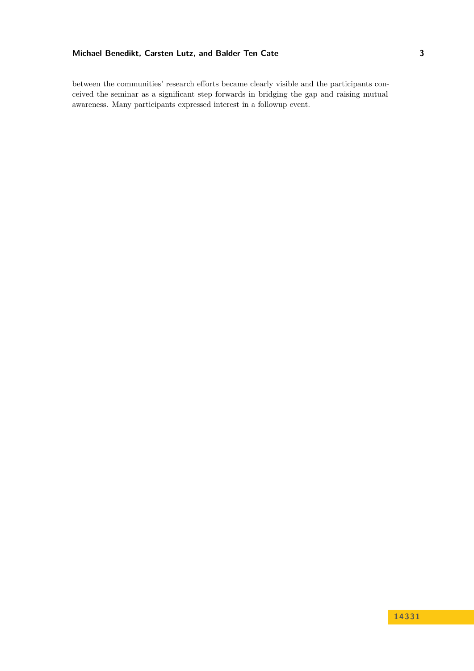between the communities' research efforts became clearly visible and the participants conceived the seminar as a significant step forwards in bridging the gap and raising mutual awareness. Many participants expressed interest in a followup event.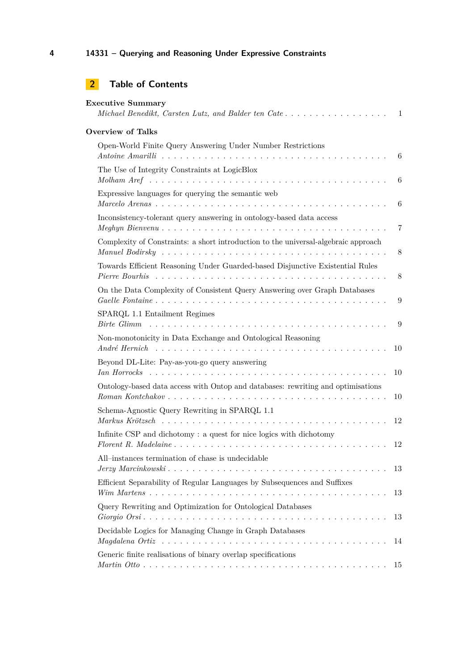| <b>Executive Summary</b><br>Michael Benedikt, Carsten Lutz, and Balder ten Cate                                                                                                                 | 1              |
|-------------------------------------------------------------------------------------------------------------------------------------------------------------------------------------------------|----------------|
| <b>Overview of Talks</b>                                                                                                                                                                        |                |
| Open-World Finite Query Answering Under Number Restrictions                                                                                                                                     | 6              |
| The Use of Integrity Constraints at LogicBlox                                                                                                                                                   | 6              |
| Expressive languages for querying the semantic web                                                                                                                                              | 6              |
| Inconsistency-tolerant query answering in ontology-based data access                                                                                                                            | $\overline{7}$ |
| Complexity of Constraints: a short introduction to the universal-algebraic approach                                                                                                             | 8              |
| Towards Efficient Reasoning Under Guarded-based Disjunctive Existential Rules<br>Pierre Bourhis research research resources research research research resources research resources research re | 8              |
| On the Data Complexity of Consistent Query Answering over Graph Databases                                                                                                                       | 9              |
| SPARQL 1.1 Entailment Regimes                                                                                                                                                                   | 9              |
| Non-monotonicity in Data Exchange and Ontological Reasoning<br>André Hernich $\ldots \ldots \ldots \ldots \ldots \ldots \ldots \ldots \ldots \ldots \ldots \ldots \ldots$                       | 10             |
| Beyond DL-Lite: Pay-as-you-go query answering                                                                                                                                                   | 10             |
| Ontology-based data access with Ontop and databases: rewriting and optimisations                                                                                                                | 10             |
| Schema-Agnostic Query Rewriting in SPARQL 1.1                                                                                                                                                   | 12             |
| Infinite CSP and dichotomy: a quest for nice logics with dichotomy                                                                                                                              | 12             |
| All-instances termination of chase is undecidable                                                                                                                                               | 13             |
| Efficient Separability of Regular Languages by Subsequences and Suffixes                                                                                                                        | 13             |
| Query Rewriting and Optimization for Ontological Databases                                                                                                                                      | 13             |
| Decidable Logics for Managing Change in Graph Databases                                                                                                                                         | 14             |
| Generic finite realisations of binary overlap specifications                                                                                                                                    | 15             |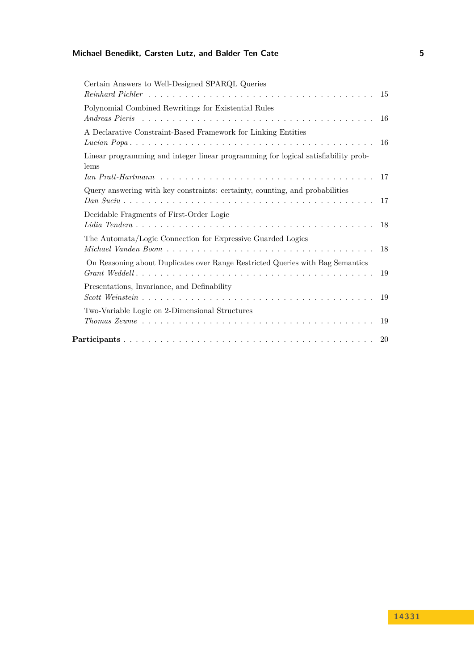| Certain Answers to Well-Designed SPARQL Queries<br>$Reinhard$ $Pichler$ $\ldots$ $\ldots$ $\ldots$ $\ldots$ $\ldots$ $\ldots$ $\ldots$ $\ldots$ $\ldots$ $\ldots$ $\ldots$ $\ldots$ $\ldots$ $\ldots$ $\vdots$ $\vdots$ |    |
|-------------------------------------------------------------------------------------------------------------------------------------------------------------------------------------------------------------------------|----|
| Polynomial Combined Rewritings for Existential Rules                                                                                                                                                                    |    |
| A Declarative Constraint-Based Framework for Linking Entities                                                                                                                                                           |    |
| Linear programming and integer linear programming for logical satisfiability prob-<br>lems                                                                                                                              |    |
| Query answering with key constraints: certainty, counting, and probabilities                                                                                                                                            |    |
| Decidable Fragments of First-Order Logic                                                                                                                                                                                |    |
| The Automata/Logic Connection for Expressive Guarded Logics                                                                                                                                                             | 18 |
| On Reasoning about Duplicates over Range Restricted Queries with Bag Semantics                                                                                                                                          | 19 |
| Presentations, Invariance, and Definability                                                                                                                                                                             |    |
| Two-Variable Logic on 2-Dimensional Structures                                                                                                                                                                          |    |
|                                                                                                                                                                                                                         |    |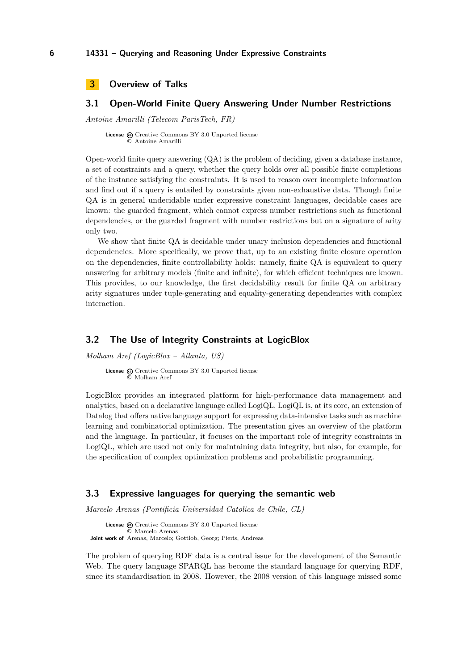```
3 Overview of Talks
```
## <span id="page-5-1"></span>**3.1 Open-World Finite Query Answering Under Number Restrictions**

*Antoine Amarilli (Telecom ParisTech, FR)*

**License** @ [Creative Commons BY 3.0 Unported](http://creativecommons.org/licenses/by/3.0/) license © [Antoine Amarilli](#page-5-1)

Open-world finite query answering  $(QA)$  is the problem of deciding, given a database instance, a set of constraints and a query, whether the query holds over all possible finite completions of the instance satisfying the constraints. It is used to reason over incomplete information and find out if a query is entailed by constraints given non-exhaustive data. Though finite QA is in general undecidable under expressive constraint languages, decidable cases are known: the guarded fragment, which cannot express number restrictions such as functional dependencies, or the guarded fragment with number restrictions but on a signature of arity only two.

We show that finite QA is decidable under unary inclusion dependencies and functional dependencies. More specifically, we prove that, up to an existing finite closure operation on the dependencies, finite controllability holds: namely, finite QA is equivalent to query answering for arbitrary models (finite and infinite), for which efficient techniques are known. This provides, to our knowledge, the first decidability result for finite QA on arbitrary arity signatures under tuple-generating and equality-generating dependencies with complex interaction.

### <span id="page-5-2"></span>**3.2 The Use of Integrity Constraints at LogicBlox**

*Molham Aref (LogicBlox – Atlanta, US)*

License  $\textcircled{c}$  [Creative Commons BY 3.0 Unported](http://creativecommons.org/licenses/by/3.0/) license © [Molham Aref](#page-5-2)

LogicBlox provides an integrated platform for high-performance data management and analytics, based on a declarative language called LogiQL. LogiQL is, at its core, an extension of Datalog that offers native language support for expressing data-intensive tasks such as machine learning and combinatorial optimization. The presentation gives an overview of the platform and the language. In particular, it focuses on the important role of integrity constraints in LogiQL, which are used not only for maintaining data integrity, but also, for example, for the specification of complex optimization problems and probabilistic programming.

### <span id="page-5-3"></span>**3.3 Expressive languages for querying the semantic web**

*Marcelo Arenas (Pontificia Universidad Catolica de Chile, CL)*

```
License \textcircled{c}Creative Commons BY 3.0 Unported license
              © Marcelo Arenas
Joint work of Arenas, Marcelo; Gottlob, Georg; Pieris, Andreas
```
The problem of querying RDF data is a central issue for the development of the Semantic Web. The query language SPARQL has become the standard language for querying RDF, since its standardisation in 2008. However, the 2008 version of this language missed some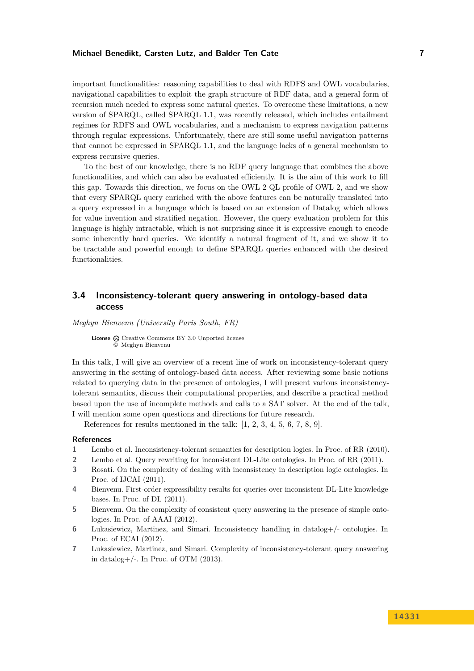important functionalities: reasoning capabilities to deal with RDFS and OWL vocabularies, navigational capabilities to exploit the graph structure of RDF data, and a general form of recursion much needed to express some natural queries. To overcome these limitations, a new version of SPARQL, called SPARQL 1.1, was recently released, which includes entailment regimes for RDFS and OWL vocabularies, and a mechanism to express navigation patterns through regular expressions. Unfortunately, there are still some useful navigation patterns that cannot be expressed in SPARQL 1.1, and the language lacks of a general mechanism to express recursive queries.

To the best of our knowledge, there is no RDF query language that combines the above functionalities, and which can also be evaluated efficiently. It is the aim of this work to fill this gap. Towards this direction, we focus on the OWL 2 QL profile of OWL 2, and we show that every SPARQL query enriched with the above features can be naturally translated into a query expressed in a language which is based on an extension of Datalog which allows for value invention and stratified negation. However, the query evaluation problem for this language is highly intractable, which is not surprising since it is expressive enough to encode some inherently hard queries. We identify a natural fragment of it, and we show it to be tractable and powerful enough to define SPARQL queries enhanced with the desired functionalities.

## <span id="page-6-0"></span>**3.4 Inconsistency-tolerant query answering in ontology-based data access**

*Meghyn Bienvenu (University Paris South, FR)*

License  $\textcircled{c}$  [Creative Commons BY 3.0 Unported](http://creativecommons.org/licenses/by/3.0/) license © [Meghyn Bienvenu](#page-6-0)

In this talk, I will give an overview of a recent line of work on inconsistency-tolerant query answering in the setting of ontology-based data access. After reviewing some basic notions related to querying data in the presence of ontologies, I will present various inconsistencytolerant semantics, discuss their computational properties, and describe a practical method based upon the use of incomplete methods and calls to a SAT solver. At the end of the talk, I will mention some open questions and directions for future research.

References for results mentioned in the talk: [\[1,](#page-6-1) [2,](#page-6-2) [3,](#page-6-3) [4,](#page-6-4) [5,](#page-6-5) [6,](#page-6-6) [7,](#page-6-7) [8,](#page-7-2) [9\]](#page-7-3).

#### **References**

- <span id="page-6-1"></span>**1** Lembo et al. Inconsistency-tolerant semantics for description logics. In Proc. of RR (2010).
- <span id="page-6-2"></span>**2** Lembo et al. Query rewriting for inconsistent DL-Lite ontologies. In Proc. of RR (2011).
- <span id="page-6-3"></span>**3** Rosati. On the complexity of dealing with inconsistency in description logic ontologies. In Proc. of IJCAI (2011).
- <span id="page-6-4"></span>**4** Bienvenu. First-order expressibility results for queries over inconsistent DL-Lite knowledge bases. In Proc. of DL (2011).
- <span id="page-6-5"></span>**5** Bienvenu. On the complexity of consistent query answering in the presence of simple ontologies. In Proc. of AAAI (2012).
- <span id="page-6-6"></span>**6** Lukasiewicz, Martinez, and Simari. Inconsistency handling in datalog+/- ontologies. In Proc. of ECAI (2012).
- <span id="page-6-7"></span>**7** Lukasiewicz, Martinez, and Simari. Complexity of inconsistency-tolerant query answering in datalog+ $/$ -. In Proc. of OTM  $(2013)$ .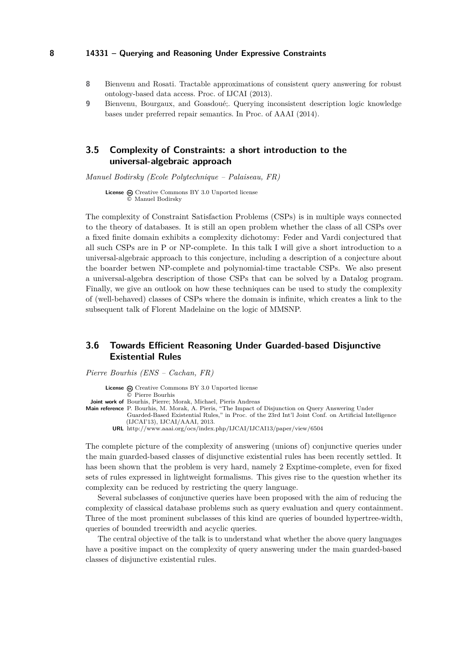- <span id="page-7-2"></span>**8** Bienvenu and Rosati. Tractable approximations of consistent query answering for robust ontology-based data access. Proc. of IJCAI (2013).
- <span id="page-7-3"></span>**9** Bienvenu, Bourgaux, and Goasdoué;. Querying inconsistent description logic knowledge bases under preferred repair semantics. In Proc. of AAAI (2014).

## <span id="page-7-0"></span>**3.5 Complexity of Constraints: a short introduction to the universal-algebraic approach**

*Manuel Bodirsky (Ecole Polytechnique – Palaiseau, FR)*

License @ [Creative Commons BY 3.0 Unported](http://creativecommons.org/licenses/by/3.0/) license © [Manuel Bodirsky](#page-7-0)

The complexity of Constraint Satisfaction Problems (CSPs) is in multiple ways connected to the theory of databases. It is still an open problem whether the class of all CSPs over a fixed finite domain exhibits a complexity dichotomy: Feder and Vardi conjectured that all such CSPs are in P or NP-complete. In this talk I will give a short introduction to a universal-algebraic approach to this conjecture, including a description of a conjecture about the boarder betwen NP-complete and polynomial-time tractable CSPs. We also present a universal-algebra description of those CSPs that can be solved by a Datalog program. Finally, we give an outlook on how these techniques can be used to study the complexity of (well-behaved) classes of CSPs where the domain is infinite, which creates a link to the subsequent talk of Florent Madelaine on the logic of MMSNP.

## <span id="page-7-1"></span>**3.6 Towards Efficient Reasoning Under Guarded-based Disjunctive Existential Rules**

*Pierre Bourhis (ENS – Cachan, FR)*

License  $\textcircled{e}$  [Creative Commons BY 3.0 Unported](http://creativecommons.org/licenses/by/3.0/) license © [Pierre Bourhis](#page-7-1) **Joint work of** Bourhis, Pierre; Morak, Michael, Pieris Andreas **Main reference** [P. Bourhis, M. Morak, A. Pieris, "The Impact of Disjunction on Query Answering Under](http://www.aaai.org/ocs/index.php/IJCAI/IJCAI13/paper/view/6504) [Guarded-Based Existential Rules," in Proc. of the 23rd Int'l Joint Conf. on Artificial Intelligence](http://www.aaai.org/ocs/index.php/IJCAI/IJCAI13/paper/view/6504) [\(IJCAI'13\), IJCAI/AAAI, 2013.](http://www.aaai.org/ocs/index.php/IJCAI/IJCAI13/paper/view/6504) **URL** <http://www.aaai.org/ocs/index.php/IJCAI/IJCAI13/paper/view/6504>

The complete picture of the complexity of answering (unions of) conjunctive queries under the main guarded-based classes of disjunctive existential rules has been recently settled. It has been shown that the problem is very hard, namely 2 Exptime-complete, even for fixed sets of rules expressed in lightweight formalisms. This gives rise to the question whether its complexity can be reduced by restricting the query language.

Several subclasses of conjunctive queries have been proposed with the aim of reducing the complexity of classical database problems such as query evaluation and query containment. Three of the most prominent subclasses of this kind are queries of bounded hypertree-width, queries of bounded treewidth and acyclic queries.

The central objective of the talk is to understand what whether the above query languages have a positive impact on the complexity of query answering under the main guarded-based classes of disjunctive existential rules.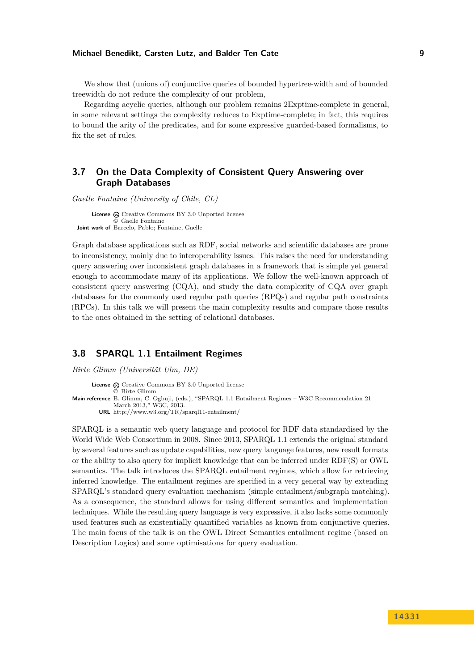We show that (unions of) conjunctive queries of bounded hypertree-width and of bounded treewidth do not reduce the complexity of our problem,

Regarding acyclic queries, although our problem remains 2Exptime-complete in general, in some relevant settings the complexity reduces to Exptime-complete; in fact, this requires to bound the arity of the predicates, and for some expressive guarded-based formalisms, to fix the set of rules.

## <span id="page-8-0"></span>**3.7 On the Data Complexity of Consistent Query Answering over Graph Databases**

*Gaelle Fontaine (University of Chile, CL)*

License  $\textcircled{c}$  [Creative Commons BY 3.0 Unported](http://creativecommons.org/licenses/by/3.0/) license © [Gaelle Fontaine](#page-8-0) **Joint work of** Barcelo, Pablo; Fontaine, Gaelle

Graph database applications such as RDF, social networks and scientific databases are prone to inconsistency, mainly due to interoperability issues. This raises the need for understanding query answering over inconsistent graph databases in a framework that is simple yet general enough to accommodate many of its applications. We follow the well-known approach of consistent query answering (CQA), and study the data complexity of CQA over graph databases for the commonly used regular path queries (RPQs) and regular path constraints (RPCs). In this talk we will present the main complexity results and compare those results to the ones obtained in the setting of relational databases.

## <span id="page-8-1"></span>**3.8 SPARQL 1.1 Entailment Regimes**

*Birte Glimm (Universität Ulm, DE)*

```
License \textcircled{c}Creative Commons BY 3.0 Unported license
              © Birte Glimm
Main reference B. Glimm, C. Ogbuji, (eds.), "SPARQL 1.1 Entailment Regimes – W3C Recommendation 21
              March 2013," W3C, 2013.
        URL http://www.w3.org/TR/sparql11-entailment/
```
SPARQL is a semantic web query language and protocol for RDF data standardised by the World Wide Web Consortium in 2008. Since 2013, SPARQL 1.1 extends the original standard by several features such as update capabilities, new query language features, new result formats or the ability to also query for implicit knowledge that can be inferred under RDF(S) or OWL semantics. The talk introduces the SPARQL entailment regimes, which allow for retrieving inferred knowledge. The entailment regimes are specified in a very general way by extending SPARQL's standard query evaluation mechanism (simple entailment/subgraph matching). As a consequence, the standard allows for using different semantics and implementation techniques. While the resulting query language is very expressive, it also lacks some commonly used features such as existentially quantified variables as known from conjunctive queries. The main focus of the talk is on the OWL Direct Semantics entailment regime (based on Description Logics) and some optimisations for query evaluation.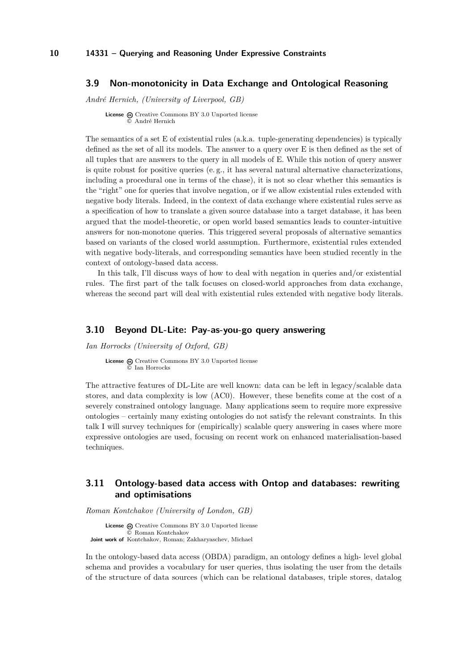### <span id="page-9-0"></span>**3.9 Non-monotonicity in Data Exchange and Ontological Reasoning**

*André Hernich, (University of Liverpool, GB)*

**License**  $\odot$  [Creative Commons BY 3.0 Unported](http://creativecommons.org/licenses/by/3.0/) license © [André Hernich](#page-9-0)

The semantics of a set E of existential rules (a.k.a. tuple-generating dependencies) is typically defined as the set of all its models. The answer to a query over E is then defined as the set of all tuples that are answers to the query in all models of E. While this notion of query answer is quite robust for positive queries (e. g., it has several natural alternative characterizations, including a procedural one in terms of the chase), it is not so clear whether this semantics is the "right" one for queries that involve negation, or if we allow existential rules extended with negative body literals. Indeed, in the context of data exchange where existential rules serve as a specification of how to translate a given source database into a target database, it has been argued that the model-theoretic, or open world based semantics leads to counter-intuitive answers for non-monotone queries. This triggered several proposals of alternative semantics based on variants of the closed world assumption. Furthermore, existential rules extended with negative body-literals, and corresponding semantics have been studied recently in the context of ontology-based data access.

In this talk, I'll discuss ways of how to deal with negation in queries and/or existential rules. The first part of the talk focuses on closed-world approaches from data exchange, whereas the second part will deal with existential rules extended with negative body literals.

## <span id="page-9-1"></span>**3.10 Beyond DL-Lite: Pay-as-you-go query answering**

*Ian Horrocks (University of Oxford, GB)*

License  $\odot$  [Creative Commons BY 3.0 Unported](http://creativecommons.org/licenses/by/3.0/) license © [Ian Horrocks](#page-9-1)

The attractive features of DL-Lite are well known: data can be left in legacy/scalable data stores, and data complexity is low (AC0). However, these benefits come at the cost of a severely constrained ontology language. Many applications seem to require more expressive ontologies – certainly many existing ontologies do not satisfy the relevant constraints. In this talk I will survey techniques for (empirically) scalable query answering in cases where more expressive ontologies are used, focusing on recent work on enhanced materialisation-based techniques.

## <span id="page-9-2"></span>**3.11 Ontology-based data access with Ontop and databases: rewriting and optimisations**

*Roman Kontchakov (University of London, GB)*

License  $\textcircled{c}$  [Creative Commons BY 3.0 Unported](http://creativecommons.org/licenses/by/3.0/) license © [Roman Kontchakov](#page-9-2) **Joint work of** Kontchakov, Roman; Zakharyaschev, Michael

In the ontology-based data access (OBDA) paradigm, an ontology defines a high- level global schema and provides a vocabulary for user queries, thus isolating the user from the details of the structure of data sources (which can be relational databases, triple stores, datalog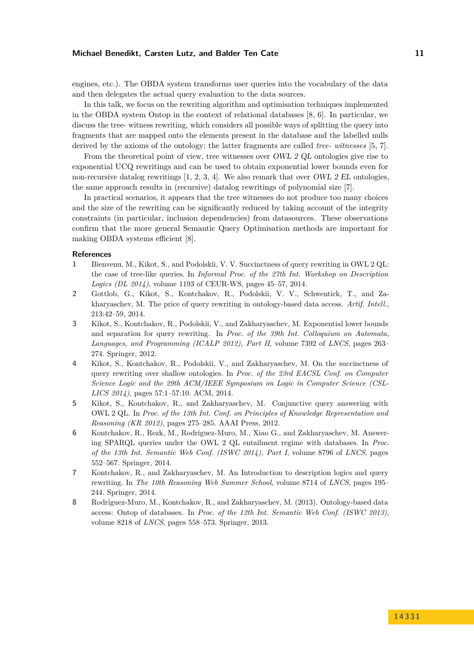engines, etc.). The OBDA system transforms user queries into the vocabulary of the data and then delegates the actual query evaluation to the data sources.

In this talk, we focus on the rewriting algorithm and optimisation techniques implemented in the OBDA system Ontop in the context of relational databases [\[8,](#page-10-0) [6\]](#page-10-1). In particular, we discuss the tree- witness rewriting, which considers all possible ways of splitting the query into fragments that are mapped onto the elements present in the database and the labelled nulls derived by the axioms of the ontology; the latter fragments are called *tree- witnesses* [\[5,](#page-10-2) [7\]](#page-10-3).

From the theoretical point of view, tree witnesses over OWL 2 QL ontologies give rise to exponential UCQ rewritings and can be used to obtain exponential lower bounds even for non-recursive datalog rewritings  $[1, 2, 3, 4]$  $[1, 2, 3, 4]$  $[1, 2, 3, 4]$  $[1, 2, 3, 4]$  $[1, 2, 3, 4]$  $[1, 2, 3, 4]$  $[1, 2, 3, 4]$ . We also remark that over *OWL 2 EL* ontologies, the same approach results in (recursive) datalog rewritings of polynomial size [\[7\]](#page-10-3).

In practical scenarios, it appears that the tree witnesses do not produce too many choices and the size of the rewriting can be significantly reduced by taking account of the integrity constraints (in particular, inclusion dependencies) from datasources. These observations confirm that the more general Semantic Query Optimisation methods are important for making OBDA systems efficient [\[8\]](#page-10-0).

#### **References**

- <span id="page-10-4"></span>**1** Bienvenu, M., Kikot, S., and Podolskii, V. V. Succinctness of query rewriting in OWL 2 QL: the case of tree-like queries. In *Informal Proc. of the 27th Int. Workshop on Description Logics (DL 2014)*, volume 1193 of CEUR-WS, pages 45–57, 2014.
- <span id="page-10-5"></span>**2** Gottlob, G., Kikot, S., Kontchakov, R., Podolskii, V. V., Schwentick, T., and Zakharyaschev, M. The price of query rewriting in ontology-based data access. *Artif. Intell.*, 213:42–59, 2014.
- <span id="page-10-6"></span>**3** Kikot, S., Kontchakov, R., Podolskii, V., and Zakharyaschev, M. Exponential lower bounds and separation for query rewriting. In *Proc. of the 39th Int. Colloquium on Automata, Languages, and Programming (ICALP 2012), Part II*, volume 7392 of *LNCS*, pages 263– 274. Springer, 2012.
- <span id="page-10-7"></span>**4** Kikot, S., Kontchakov, R., Podolskii, V., and Zakharyaschev, M. On the succinctness of query rewriting over shallow ontologies. In *Proc. of the 23rd EACSL Conf. on Computer Science Logic and the 29th ACM/IEEE Symposium on Logic in Computer Science (CSL-LICS 2014)*, pages 57:1–57:10. ACM, 2014.
- <span id="page-10-2"></span>**5** Kikot, S., Kontchakov, R., and Zakharyaschev, M. Conjunctive query answering with OWL 2 QL. In *Proc. of the 13th Int. Conf. on Principles of Knowledge Representation and Reasoning (KR 2012)*, pages 275–285. AAAI Press, 2012.
- <span id="page-10-1"></span>**6** Kontchakov, R., Rezk, M., Rodríguez-Muro, M., Xiao G., and Zakharyaschev, M. Answering SPARQL queries under the OWL 2 QL entailment regime with databases. In *Proc. of the 13th Int. Semantic Web Conf. (ISWC 2014), Part I*, volume 8796 of *LNCS*, pages 552–567. Springer, 2014.
- <span id="page-10-3"></span>**7** Kontchakov, R., and Zakharyaschev, M. An Introduction to description logics and query rewriting. In *The 10th Reasoning Web Summer School*, volume 8714 of *LNCS*, pages 195– 244. Springer, 2014.
- <span id="page-10-0"></span>**8** Rodríguez-Muro, M., Kontchakov, R., and Zakharyaschev, M. (2013). Ontology-based data access: Ontop of databases. In *Proc. of the 12th Int. Semantic Web Conf. (ISWC 2013)*, volume 8218 of *LNCS*, pages 558–573. Springer, 2013.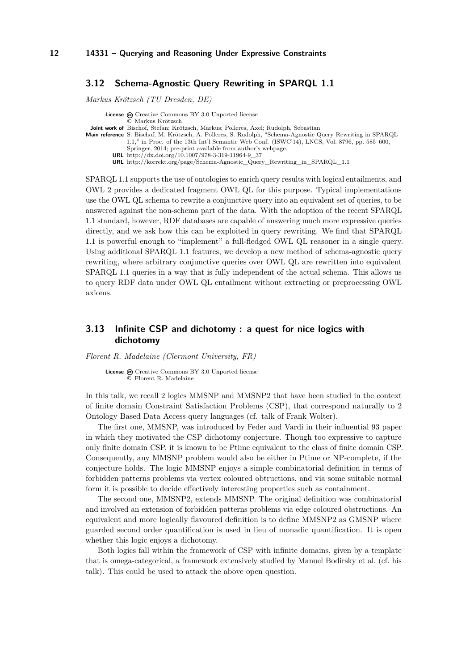## <span id="page-11-0"></span>**3.12 Schema-Agnostic Query Rewriting in SPARQL 1.1**

*Markus Krötzsch (TU Dresden, DE)*

**License**  $\textcircled{e}$  [Creative Commons BY 3.0 Unported](http://creativecommons.org/licenses/by/3.0/) license © [Markus Krötzsch](#page-11-0) **Joint work of** Bischof, Stefan; Krötzsch, Markus; Polleres, Axel; Rudolph, Sebastian **Main reference** [S. Bischof, M. Krötzsch, A. Polleres, S. Rudolph, "Schema-Agnostic Query Rewriting in SPARQL](http://dx.doi.org/10.1007/978-3-319-11964-9_37) [1.1," in Proc. of the 13th Int'l Semantic Web Conf. \(ISWC'14\), LNCS, Vol. 8796, pp. 585–600,](http://dx.doi.org/10.1007/978-3-319-11964-9_37) [Springer, 2014; pre-print available from author's webpage.](http://dx.doi.org/10.1007/978-3-319-11964-9_37) **URL** [http://dx.doi.org/10.1007/978-3-319-11964-9\\_37](http://dx.doi.org/10.1007/978-3-319-11964-9_37) **URL** [http://korrekt.org/page/Schema-Agnostic\\_Query\\_Rewriting\\_in\\_SPARQL\\_1.1](http://korrekt.org/page/Schema-Agnostic_Query_Rewriting_in_SPARQL_1.1)

SPARQL 1.1 supports the use of ontologies to enrich query results with logical entailments, and OWL 2 provides a dedicated fragment OWL QL for this purpose. Typical implementations use the OWL QL schema to rewrite a conjunctive query into an equivalent set of queries, to be answered against the non-schema part of the data. With the adoption of the recent SPARQL 1.1 standard, however, RDF databases are capable of answering much more expressive queries directly, and we ask how this can be exploited in query rewriting. We find that SPARQL 1.1 is powerful enough to "implement" a full-fledged OWL QL reasoner in a single query. Using additional SPARQL 1.1 features, we develop a new method of schema-agnostic query rewriting, where arbitrary conjunctive queries over OWL QL are rewritten into equivalent SPARQL 1.1 queries in a way that is fully independent of the actual schema. This allows us to query RDF data under OWL QL entailment without extracting or preprocessing OWL axioms.

## <span id="page-11-1"></span>**3.13 Infinite CSP and dichotomy : a quest for nice logics with dichotomy**

*Florent R. Madelaine (Clermont University, FR)*

License @ [Creative Commons BY 3.0 Unported](http://creativecommons.org/licenses/by/3.0/) license © [Florent R. Madelaine](#page-11-1)

In this talk, we recall 2 logics MMSNP and MMSNP2 that have been studied in the context of finite domain Constraint Satisfaction Problems (CSP), that correspond naturally to 2 Ontology Based Data Access query languages (cf. talk of Frank Wolter).

The first one, MMSNP, was introduced by Feder and Vardi in their influential 93 paper in which they motivated the CSP dichotomy conjecture. Though too expressive to capture only finite domain CSP, it is known to be Ptime equivalent to the class of finite domain CSP. Consequently, any MMSNP problem would also be either in Ptime or NP-complete, if the conjecture holds. The logic MMSNP enjoys a simple combinatorial definition in terms of forbidden patterns problems via vertex coloured obtructions, and via some suitable normal form it is possible to decide effectively interesting properties such as containment.

The second one, MMSNP2, extends MMSNP. The original definition was combinatorial and involved an extension of forbidden patterns problems via edge coloured obstructions. An equivalent and more logically flavoured definition is to define MMSNP2 as GMSNP where guarded second order quantification is used in lieu of monadic quantification. It is open whether this logic enjoys a dichotomy.

Both logics fall within the framework of CSP with infinite domains, given by a template that is omega-categorical, a framework extensively studied by Manuel Bodirsky et al. (cf. his talk). This could be used to attack the above open question.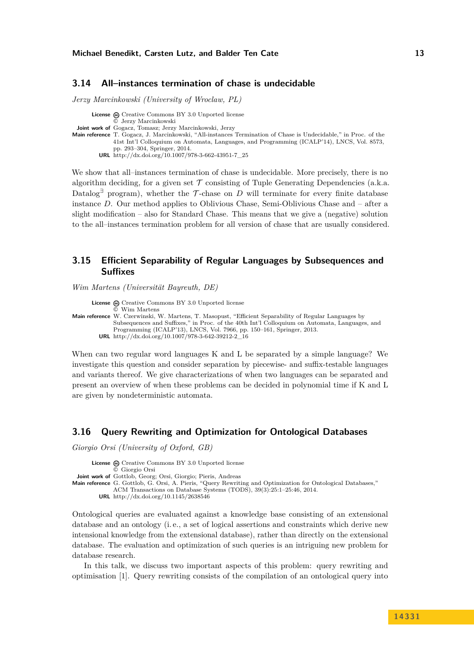## <span id="page-12-0"></span>**3.14 All–instances termination of chase is undecidable**

*Jerzy Marcinkowski (University of Wroclaw, PL)*

**License**  $\textcircled{e}$  [Creative Commons BY 3.0 Unported](http://creativecommons.org/licenses/by/3.0/) license © [Jerzy Marcinkowski](#page-12-0) **Joint work of** Gogacz, Tomasz; Jerzy Marcinkowski, Jerzy **Main reference** [T. Gogacz, J. Marcinkowski, "All-instances Termination of Chase is Undecidable," in Proc. of the](http://dx.doi.org/10.1007/978-3-662-43951-7_25) [41st Int'l Colloquium on Automata, Languages, and Programming \(ICALP'14\), LNCS, Vol. 8573,](http://dx.doi.org/10.1007/978-3-662-43951-7_25) [pp. 293–304, Springer, 2014.](http://dx.doi.org/10.1007/978-3-662-43951-7_25) **URL** [http://dx.doi.org/10.1007/978-3-662-43951-7\\_25](http://dx.doi.org/10.1007/978-3-662-43951-7_25)

We show that all–instances termination of chase is undecidable. More precisely, there is no algorithm deciding, for a given set  $\mathcal T$  consisting of Tuple Generating Dependencies (a.k.a. Datalog<sup>∃</sup> program), whether the  $\mathcal T$ -chase on *D* will terminate for every finite database instance *D*. Our method applies to Oblivious Chase, Semi-Oblivious Chase and – after a slight modification – also for Standard Chase. This means that we give a (negative) solution to the all–instances termination problem for all version of chase that are usually considered.

## <span id="page-12-1"></span>**3.15 Efficient Separability of Regular Languages by Subsequences and Suffixes**

*Wim Martens (Universität Bayreuth, DE)*

**License**  $\odot$  [Creative Commons BY 3.0 Unported](http://creativecommons.org/licenses/by/3.0/) license © [Wim Martens](#page-12-1) **Main reference** [W. Czerwinski, W. Martens, T. Masopust, "Efficient Separability of Regular Languages by](http://dx.doi.org/10.1007/978-3-642-39212-2_16) [Subsequences and Suffixes," in Proc. of the 40th Int'l Colloquium on Automata, Languages, and](http://dx.doi.org/10.1007/978-3-642-39212-2_16) [Programming \(ICALP'13\), LNCS, Vol. 7966, pp. 150–161, Springer, 2013.](http://dx.doi.org/10.1007/978-3-642-39212-2_16) **URL** [http://dx.doi.org/10.1007/978-3-642-39212-2\\_16](http://dx.doi.org/10.1007/978-3-642-39212-2_16)

When can two regular word languages K and L be separated by a simple language? We investigate this question and consider separation by piecewise- and suffix-testable languages and variants thereof. We give characterizations of when two languages can be separated and present an overview of when these problems can be decided in polynomial time if K and L are given by nondeterministic automata.

## <span id="page-12-2"></span>**3.16 Query Rewriting and Optimization for Ontological Databases**

*Giorgio Orsi (University of Oxford, GB)*

License  $\textcircled{c}$  [Creative Commons BY 3.0 Unported](http://creativecommons.org/licenses/by/3.0/) license © [Giorgio Orsi](#page-12-2) **Joint work of** Gottlob, Georg; Orsi, Giorgio; Pieris, Andreas **Main reference** [G. Gottlob, G. Orsi, A. Pieris, "Query Rewriting and Optimization for Ontological Databases,"](http://dx.doi.org/10.1145/2638546) [ACM Transactions on Database Systems \(TODS\), 39\(3\):25:1–25:46, 2014.](http://dx.doi.org/10.1145/2638546) **URL** <http://dx.doi.org/10.1145/2638546>

Ontological queries are evaluated against a knowledge base consisting of an extensional database and an ontology (i. e., a set of logical assertions and constraints which derive new intensional knowledge from the extensional database), rather than directly on the extensional database. The evaluation and optimization of such queries is an intriguing new problem for database research.

In this talk, we discuss two important aspects of this problem: query rewriting and optimisation [\[1\]](#page-13-1). Query rewriting consists of the compilation of an ontological query into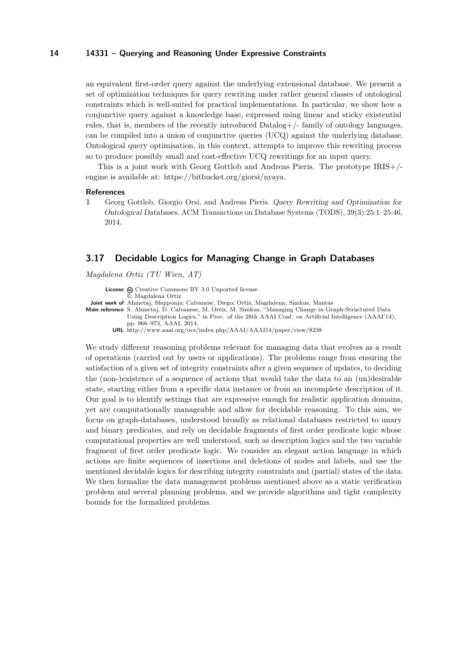#### **14 14331 – Querying and Reasoning Under Expressive Constraints**

an equivalent first-order query against the underlying extensional database. We present a set of optimization techniques for query rewriting under rather general classes of ontological constraints which is well-suited for practical implementations. In particular, we show how a conjunctive query against a knowledge base, expressed using linear and sticky existential rules, that is, members of the recently introduced Datalog+/- family of ontology languages, can be compiled into a union of conjunctive queries (UCQ) against the underlying database. Ontological query optimisation, in this context, attempts to improve this rewriting process so to produce possibly small and cost-effective UCQ rewritings for an input query.

This is a joint work with Georg Gottlob and Andreas Pieris. The prototype IRIS+/ engine is available at: [https://bitbucket.org/giorsi/nyaya.](https://bitbucket.org/giorsi/nyaya)

#### **References**

<span id="page-13-1"></span>**1** Georg Gottlob, Giorgio Orsi, and Andreas Pieris. Query Rewriting and Optimization for Ontological Databases. ACM Transactions on Database Systems (TODS), 39(3):25:1–25:46, 2014.

### <span id="page-13-0"></span>**3.17 Decidable Logics for Managing Change in Graph Databases**

*Magdalena Ortiz (TU Wien, AT)*

License  $\circledR$  [Creative Commons BY 3.0 Unported](http://creativecommons.org/licenses/by/3.0/) license © [Magdalena Ortiz](#page-13-0) **Joint work of** Ahmetaj, Shqiponja; Calvanese, Diego; Ortiz, Magdalena; Simkus, Mantas **Main reference** [S. Ahmetaj, D. Calvanese, M. Ortiz, M. Simkus, "Managing Change in Graph-Structured Data](http://www.aaai.org/ocs/index.php/AAAI/AAAI14/paper/view/8238) [Using Description Logics," in Proc. of the 28th AAAI Conf. on Artificial Intelligence \(AAAI'14\),](http://www.aaai.org/ocs/index.php/AAAI/AAAI14/paper/view/8238) [pp. 966–973, AAAI, 2014.](http://www.aaai.org/ocs/index.php/AAAI/AAAI14/paper/view/8238) **URL** <http://www.aaai.org/ocs/index.php/AAAI/AAAI14/paper/view/8238>

We study different reasoning problems relevant for managing data that evolves as a result of operations (carried out by users or applications). The problems range from ensuring the satisfaction of a given set of integrity constraints after a given sequence of updates, to deciding the (non-)existence of a sequence of actions that would take the data to an (un)desirable state, starting either from a specific data instance or from an incomplete description of it. Our goal is to identify settings that are expressive enough for realistic application domains, yet are computationally manageable and allow for decidable reasoning. To this aim, we focus on graph-databases, understood broadly as relational databases restricted to unary and binary predicates, and rely on decidable fragments of first order predicate logic whose computational properties are well understood, such as description logics and the two variable fragment of first order predicate logic. We consider an elegant action language in which actions are finite sequences of insertions and deletions of nodes and labels, and use the mentioned decidable logics for describing integrity constraints and (partial) states of the data. We then formalize the data management problems mentioned above as a static verification problem and several planning problems, and we provide algorithms and tight complexity bounds for the formalized problems.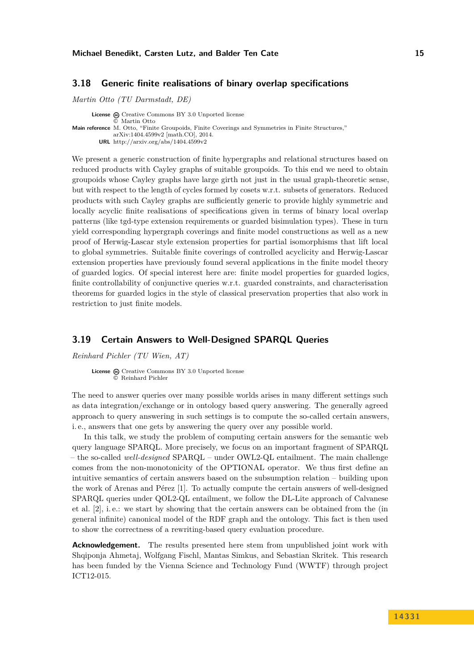## <span id="page-14-0"></span>**3.18 Generic finite realisations of binary overlap specifications**

*Martin Otto (TU Darmstadt, DE)*

**License**  $\bigotimes$  [Creative Commons BY 3.0 Unported](http://creativecommons.org/licenses/by/3.0/) license © [Martin Otto](#page-14-0) **Main reference** [M. Otto, "Finite Groupoids, Finite Coverings and Symmetries in Finite Structures,"](http://arxiv.org/abs/1404.4599v2) [arXiv:1404.4599v2 \[math.CO\], 2014.](http://arxiv.org/abs/1404.4599v2) **URL** <http://arxiv.org/abs/1404.4599v2>

We present a generic construction of finite hypergraphs and relational structures based on reduced products with Cayley graphs of suitable groupoids. To this end we need to obtain groupoids whose Cayley graphs have large girth not just in the usual graph-theoretic sense, but with respect to the length of cycles formed by cosets w.r.t. subsets of generators. Reduced products with such Cayley graphs are sufficiently generic to provide highly symmetric and locally acyclic finite realisations of specifications given in terms of binary local overlap patterns (like tgd-type extension requirements or guarded bisimulation types). These in turn yield corresponding hypergraph coverings and finite model constructions as well as a new proof of Herwig-Lascar style extension properties for partial isomorphisms that lift local to global symmetries. Suitable finite coverings of controlled acyclicity and Herwig-Lascar extension properties have previously found several applications in the finite model theory of guarded logics. Of special interest here are: finite model properties for guarded logics, finite controllability of conjunctive queries w.r.t. guarded constraints, and characterisation theorems for guarded logics in the style of classical preservation properties that also work in restriction to just finite models.

### <span id="page-14-1"></span>**3.19 Certain Answers to Well-Designed SPARQL Queries**

*Reinhard Pichler (TU Wien, AT)*

License  $\textcircled{a}$  [Creative Commons BY 3.0 Unported](http://creativecommons.org/licenses/by/3.0/) license © [Reinhard Pichler](#page-14-1)

The need to answer queries over many possible worlds arises in many different settings such as data integration/exchange or in ontology based query answering. The generally agreed approach to query answering in such settings is to compute the so-called certain answers, i. e., answers that one gets by answering the query over any possible world.

In this talk, we study the problem of computing certain answers for the semantic web query language SPARQL. More precisely, we focus on an important fragment of SPARQL – the so-called *well-designed* SPARQL – under OWL2-QL entailment. The main challenge comes from the non-monotonicity of the OPTIONAL operator. We thus first define an intuitive semantics of certain answers based on the subsumption relation – building upon the work of Arenas and Pérez [\[1\]](#page-15-2). To actually compute the certain answers of well-designed SPARQL queries under QOL2-QL entailment, we follow the DL-Lite approach of Calvanese et al. [\[2\]](#page-15-3), i. e.: we start by showing that the certain answers can be obtained from the (in general infinite) canonical model of the RDF graph and the ontology. This fact is then used to show the correctness of a rewriting-based query evaluation procedure.

**Acknowledgement.** The results presented here stem from unpublished joint work with Shqiponja Ahmetaj, Wolfgang Fischl, Mantas Simkus, and Sebastian Skritek. This research has been funded by the Vienna Science and Technology Fund (WWTF) through project ICT12-015.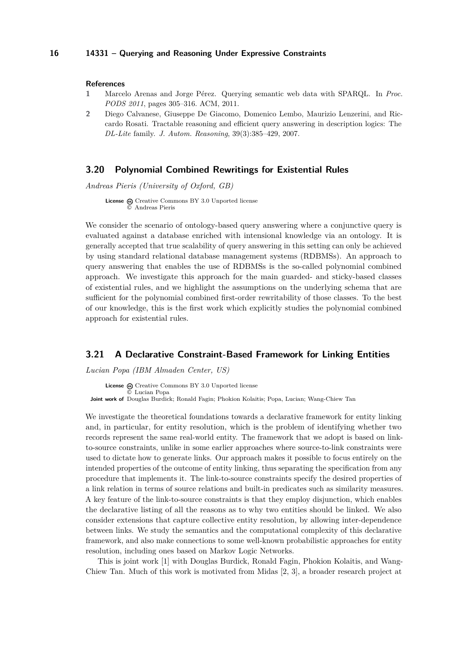#### **References**

- <span id="page-15-2"></span>**1** Marcelo Arenas and Jorge Pérez. Querying semantic web data with SPARQL. In *Proc. PODS 2011*, pages 305–316. ACM, 2011.
- <span id="page-15-3"></span>**2** Diego Calvanese, Giuseppe De Giacomo, Domenico Lembo, Maurizio Lenzerini, and Riccardo Rosati. Tractable reasoning and efficient query answering in description logics: The *DL-Lite* family. *J. Autom. Reasoning*, 39(3):385–429, 2007.

### <span id="page-15-0"></span>**3.20 Polynomial Combined Rewritings for Existential Rules**

*Andreas Pieris (University of Oxford, GB)*

License  $\textcircled{c}$  [Creative Commons BY 3.0 Unported](http://creativecommons.org/licenses/by/3.0/) license © [Andreas Pieris](#page-15-0)

We consider the scenario of ontology-based query answering where a conjunctive query is evaluated against a database enriched with intensional knowledge via an ontology. It is generally accepted that true scalability of query answering in this setting can only be achieved by using standard relational database management systems (RDBMSs). An approach to query answering that enables the use of RDBMSs is the so-called polynomial combined approach. We investigate this approach for the main guarded- and sticky-based classes of existential rules, and we highlight the assumptions on the underlying schema that are sufficient for the polynomial combined first-order rewritability of those classes. To the best of our knowledge, this is the first work which explicitly studies the polynomial combined approach for existential rules.

## <span id="page-15-1"></span>**3.21 A Declarative Constraint-Based Framework for Linking Entities**

*Lucian Popa (IBM Almaden Center, US)*

License  $\bigcirc$  [Creative Commons BY 3.0 Unported](http://creativecommons.org/licenses/by/3.0/) license © [Lucian Popa](#page-15-1) **Joint work of** Douglas Burdick; Ronald Fagin; Phokion Kolaitis; Popa, Lucian; Wang-Chiew Tan

We investigate the theoretical foundations towards a declarative framework for entity linking and, in particular, for entity resolution, which is the problem of identifying whether two records represent the same real-world entity. The framework that we adopt is based on linkto-source constraints, unlike in some earlier approaches where source-to-link constraints were used to dictate how to generate links. Our approach makes it possible to focus entirely on the intended properties of the outcome of entity linking, thus separating the specification from any procedure that implements it. The link-to-source constraints specify the desired properties of a link relation in terms of source relations and built-in predicates such as similarity measures. A key feature of the link-to-source constraints is that they employ disjunction, which enables the declarative listing of all the reasons as to why two entities should be linked. We also consider extensions that capture collective entity resolution, by allowing inter-dependence between links. We study the semantics and the computational complexity of this declarative framework, and also make connections to some well-known probabilistic approaches for entity resolution, including ones based on Markov Logic Networks.

This is joint work [\[1\]](#page-16-2) with Douglas Burdick, Ronald Fagin, Phokion Kolaitis, and Wang-Chiew Tan. Much of this work is motivated from Midas [\[2,](#page-16-3) [3\]](#page-16-4), a broader research project at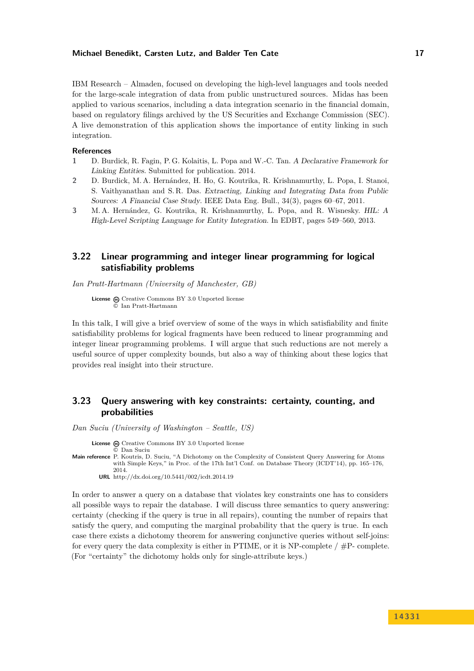IBM Research – Almaden, focused on developing the high-level languages and tools needed for the large-scale integration of data from public unstructured sources. Midas has been applied to various scenarios, including a data integration scenario in the financial domain, based on regulatory filings archived by the US Securities and Exchange Commission (SEC). A live demonstration of this application shows the importance of entity linking in such integration.

#### **References**

- <span id="page-16-2"></span>**1** D. Burdick, R. Fagin, P. G. Kolaitis, L. Popa and W.-C. Tan. A Declarative Framework for Linking Entities. Submitted for publication. 2014.
- <span id="page-16-3"></span>**2** D. Burdick, M. A. Hernández, H. Ho, G. Koutrika, R. Krishnamurthy, L. Popa, I. Stanoi, S. Vaithyanathan and S. R. Das. Extracting, Linking and Integrating Data from Public Sources: A Financial Case Study. IEEE Data Eng. Bull., 34(3), pages 60–67, 2011.
- <span id="page-16-4"></span>**3** M. A. Hernández, G. Koutrika, R. Krishnamurthy, L. Popa, and R. Wisnesky. HIL: A High-Level Scripting Language for Entity Integration. In EDBT, pages 549–560, 2013.

## <span id="page-16-0"></span>**3.22 Linear programming and integer linear programming for logical satisfiability problems**

*Ian Pratt-Hartmann (University of Manchester, GB)*

License  $\textcircled{c}$  [Creative Commons BY 3.0 Unported](http://creativecommons.org/licenses/by/3.0/) license © [Ian Pratt-Hartmann](#page-16-0)

In this talk, I will give a brief overview of some of the ways in which satisfiability and finite satisfiability problems for logical fragments have been reduced to linear programming and integer linear programming problems. I will argue that such reductions are not merely a useful source of upper complexity bounds, but also a way of thinking about these logics that provides real insight into their structure.

## <span id="page-16-1"></span>**3.23 Query answering with key constraints: certainty, counting, and probabilities**

*Dan Suciu (University of Washington – Seattle, US)*

**License** @ [Creative Commons BY 3.0 Unported](http://creativecommons.org/licenses/by/3.0/) license

© [Dan Suciu](#page-16-1) **Main reference** [P. Koutris, D. Suciu, "A Dichotomy on the Complexity of Consistent Query Answering for Atoms](http://dx.doi.org/10.5441/002/icdt.2014.19) [with Simple Keys," in Proc. of the 17th Int'l Conf. on Database Theory \(ICDT'14\), pp. 165–176,](http://dx.doi.org/10.5441/002/icdt.2014.19) [2014.](http://dx.doi.org/10.5441/002/icdt.2014.19)

**URL** <http://dx.doi.org/10.5441/002/icdt.2014.19>

In order to answer a query on a database that violates key constraints one has to considers all possible ways to repair the database. I will discuss three semantics to query answering: certainty (checking if the query is true in all repairs), counting the number of repairs that satisfy the query, and computing the marginal probability that the query is true. In each case there exists a dichotomy theorem for answering conjunctive queries without self-joins: for every query the data complexity is either in PTIME, or it is NP-complete  $/$  #P-complete. (For "certainty" the dichotomy holds only for single-attribute keys.)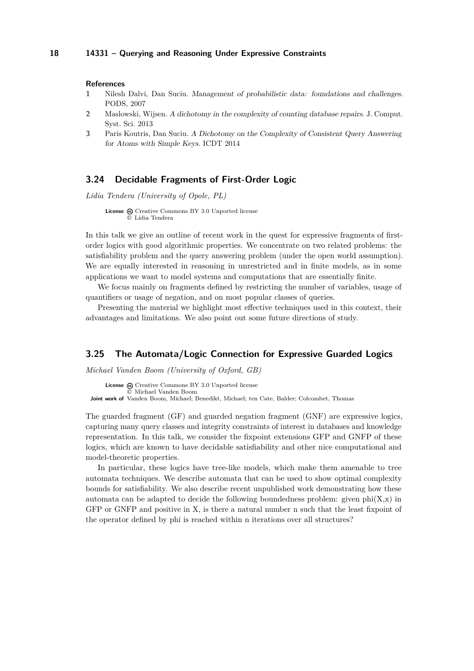#### **References**

- **1** Nilesh Dalvi, Dan Suciu. Management of probabilistic data: foundations and challenges. PODS, 2007
- **2** Maslowski, Wijsen. A dichotomy in the complexity of counting database repairs. J. Comput. Syst. Sci. 2013
- **3** Paris Koutris, Dan Suciu. A Dichotomy on the Complexity of Consistent Query Answering for Atoms with Simple Keys. ICDT 2014

### <span id="page-17-0"></span>**3.24 Decidable Fragments of First-Order Logic**

*Lidia Tendera (University of Opole, PL)*

**License**  $\textcircled{c}$  [Creative Commons BY 3.0 Unported](http://creativecommons.org/licenses/by/3.0/) license © [Lidia Tendera](#page-17-0)

In this talk we give an outline of recent work in the quest for expressive fragments of firstorder logics with good algorithmic properties. We concentrate on two related problems: the satisfiability problem and the query answering problem (under the open world assumption). We are equally interested in reasoning in unrestricted and in finite models, as in some applications we want to model systems and computations that are essentially finite.

We focus mainly on fragments defined by restricting the number of variables, usage of quantifiers or usage of negation, and on most popular classes of queries.

Presenting the material we highlight most effective techniques used in this context, their advantages and limitations. We also point out some future directions of study.

## <span id="page-17-1"></span>**3.25 The Automata/Logic Connection for Expressive Guarded Logics**

*Michael Vanden Boom (University of Oxford, GB)*

License @ [Creative Commons BY 3.0 Unported](http://creativecommons.org/licenses/by/3.0/) license © [Michael Vanden Boom](#page-17-1) **Joint work of** Vanden Boom, Michael; Benedikt, Michael; ten Cate, Balder; Colcombet, Thomas

The guarded fragment (GF) and guarded negation fragment (GNF) are expressive logics, capturing many query classes and integrity constraints of interest in databases and knowledge representation. In this talk, we consider the fixpoint extensions GFP and GNFP of these logics, which are known to have decidable satisfiability and other nice computational and model-theoretic properties.

In particular, these logics have tree-like models, which make them amenable to tree automata techniques. We describe automata that can be used to show optimal complexity bounds for satisfiability. We also describe recent unpublished work demonstrating how these automata can be adapted to decide the following boundedness problem: given  $\text{phi}(X,x)$  in GFP or GNFP and positive in X, is there a natural number n such that the least fixpoint of the operator defined by phi is reached within n iterations over all structures?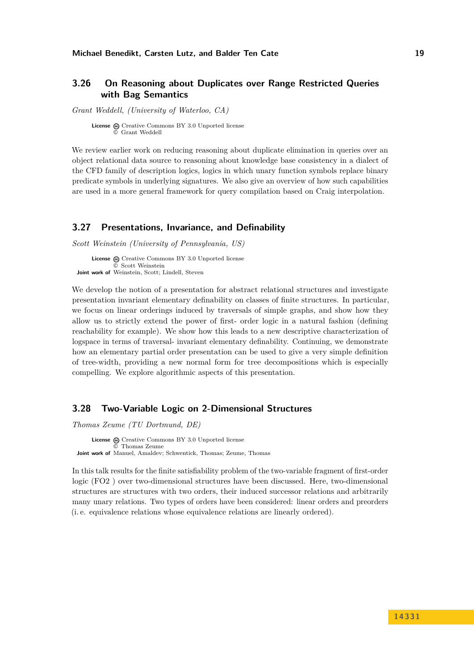## <span id="page-18-0"></span>**3.26 On Reasoning about Duplicates over Range Restricted Queries with Bag Semantics**

*Grant Weddell, (University of Waterloo, CA)*

**License**  $\textcircled{c}$  [Creative Commons BY 3.0 Unported](http://creativecommons.org/licenses/by/3.0/) license © [Grant Weddell](#page-18-0)

We review earlier work on reducing reasoning about duplicate elimination in queries over an object relational data source to reasoning about knowledge base consistency in a dialect of the CFD family of description logics, logics in which unary function symbols replace binary predicate symbols in underlying signatures. We also give an overview of how such capabilities are used in a more general framework for query compilation based on Craig interpolation.

## <span id="page-18-1"></span>**3.27 Presentations, Invariance, and Definability**

*Scott Weinstein (University of Pennsylvania, US)*

**License**  $\textcircled{c}$  [Creative Commons BY 3.0 Unported](http://creativecommons.org/licenses/by/3.0/) license © [Scott Weinstein](#page-18-1) **Joint work of** Weinstein, Scott; Lindell, Steven

We develop the notion of a presentation for abstract relational structures and investigate presentation invariant elementary definability on classes of finite structures. In particular, we focus on linear orderings induced by traversals of simple graphs, and show how they allow us to strictly extend the power of first- order logic in a natural fashion (defining reachability for example). We show how this leads to a new descriptive characterization of logspace in terms of traversal- invariant elementary definability. Continuing, we demonstrate how an elementary partial order presentation can be used to give a very simple definition of tree-width, providing a new normal form for tree decompositions which is especially compelling. We explore algorithmic aspects of this presentation.

### <span id="page-18-2"></span>**3.28 Two-Variable Logic on 2-Dimensional Structures**

*Thomas Zeume (TU Dortmund, DE)*

License  $\bigcirc$  [Creative Commons BY 3.0 Unported](http://creativecommons.org/licenses/by/3.0/) license © [Thomas Zeume](#page-18-2) **Joint work of** Manuel, Amaldev; Schwentick, Thomas; Zeume, Thomas

In this talk results for the finite satisfiability problem of the two-variable fragment of first-order logic (FO2 ) over two-dimensional structures have been discussed. Here, two-dimensional structures are structures with two orders, their induced successor relations and arbitrarily many unary relations. Two types of orders have been considered: linear orders and preorders (i. e. equivalence relations whose equivalence relations are linearly ordered).